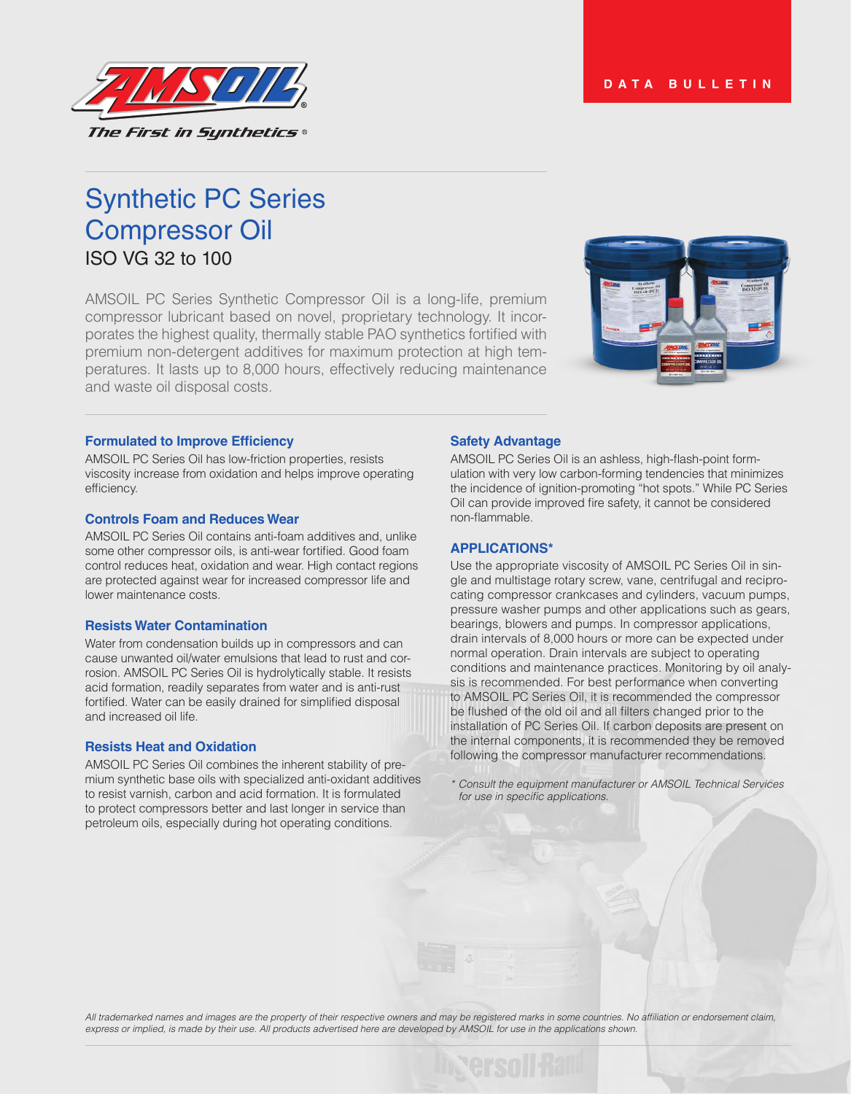

# Synthetic PC Series Compressor Oil ISO VG 32 to 100

AMSOIL PC Series Synthetic Compressor Oil is a long-life, premium compressor lubricant based on novel, proprietary technology. It incorporates the highest quality, thermally stable PAO synthetics fortified with premium non-detergent additives for maximum protection at high temperatures. It lasts up to 8,000 hours, effectively reducing maintenance and waste oil disposal costs*.*



#### **Formulated to Improve Efficiency**

AMSOIL PC Series Oil has low-friction properties, resists viscosity increase from oxidation and helps improve operating efficiency.

#### **Controls Foam and Reduces Wear**

AMSOIL PC Series Oil contains anti-foam additives and, unlike some other compressor oils, is anti-wear fortified. Good foam control reduces heat, oxidation and wear. High contact regions are protected against wear for increased compressor life and lower maintenance costs.

#### **Resists Water Contamination**

Water from condensation builds up in compressors and can cause unwanted oil/water emulsions that lead to rust and corrosion. AMSOIL PC Series Oil is hydrolytically stable. It resists acid formation, readily separates from water and is anti-rust fortified. Water can be easily drained for simplified disposal and increased oil life.

#### **Resists Heat and Oxidation**

AMSOIL PC Series Oil combines the inherent stability of premium synthetic base oils with specialized anti-oxidant additives to resist varnish, carbon and acid formation. It is formulated to protect compressors better and last longer in service than petroleum oils, especially during hot operating conditions.

#### **Safety Advantage**

AMSOIL PC Series Oil is an ashless, high-flash-point formulation with very low carbon-forming tendencies that minimizes the incidence of ignition-promoting "hot spots." While PC Series Oil can provide improved fire safety, it cannot be considered non-flammable.

### **APPLICATIONS\***

Use the appropriate viscosity of AMSOIL PC Series Oil in single and multistage rotary screw, vane, centrifugal and reciprocating compressor crankcases and cylinders, vacuum pumps, pressure washer pumps and other applications such as gears, bearings, blowers and pumps. In compressor applications, drain intervals of 8,000 hours or more can be expected under normal operation. Drain intervals are subject to operating conditions and maintenance practices. Monitoring by oil analysis is recommended. For best performance when converting to AMSOIL PC Series Oil, it is recommended the compressor be flushed of the old oil and all filters changed prior to the installation of PC Series Oil. If carbon deposits are present on the internal components, it is recommended they be removed following the compressor manufacturer recommendations.

*\* Consult the equipment manufacturer or AMSOIL Technical Services*  for use in specific applications.

All trademarked names and images are the property of their respective owners and may be registered marks in some countries. No affiliation or endorsement claim, express or implied, is made by their use. All products advertised here are developed by AMSOIL for use in the applications shown.